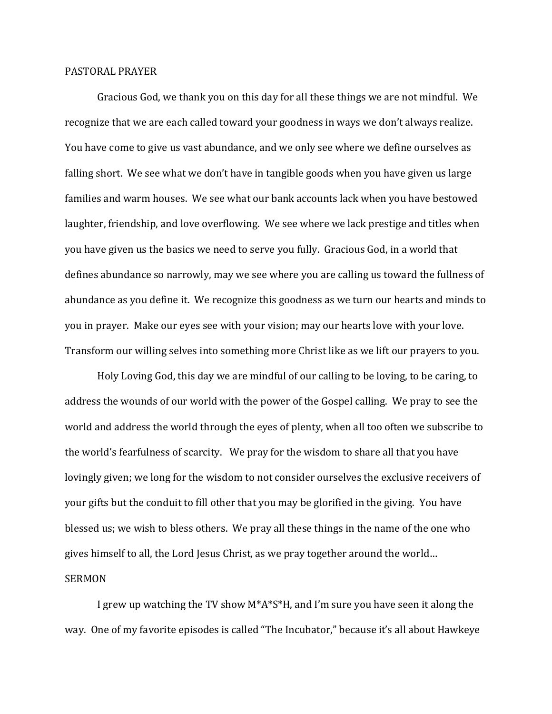## PASTORAL PRAYER

Gracious God, we thank you on this day for all these things we are not mindful. We recognize that we are each called toward your goodness in ways we don't always realize. You have come to give us vast abundance, and we only see where we define ourselves as falling short. We see what we don't have in tangible goods when you have given us large families and warm houses. We see what our bank accounts lack when you have bestowed laughter, friendship, and love overflowing. We see where we lack prestige and titles when you have given us the basics we need to serve you fully. Gracious God, in a world that defines abundance so narrowly, may we see where you are calling us toward the fullness of abundance as you define it. We recognize this goodness as we turn our hearts and minds to you in prayer. Make our eyes see with your vision; may our hearts love with your love. Transform our willing selves into something more Christ like as we lift our prayers to you.

Holy Loving God, this day we are mindful of our calling to be loving, to be caring, to address the wounds of our world with the power of the Gospel calling. We pray to see the world and address the world through the eyes of plenty, when all too often we subscribe to the world's fearfulness of scarcity. We pray for the wisdom to share all that you have lovingly given; we long for the wisdom to not consider ourselves the exclusive receivers of your gifts but the conduit to fill other that you may be glorified in the giving. You have blessed us; we wish to bless others. We pray all these things in the name of the one who gives himself to all, the Lord Jesus Christ, as we pray together around the world… SERMON

I grew up watching the TV show M\*A\*S\*H, and I'm sure you have seen it along the way. One of my favorite episodes is called "The Incubator," because it's all about Hawkeye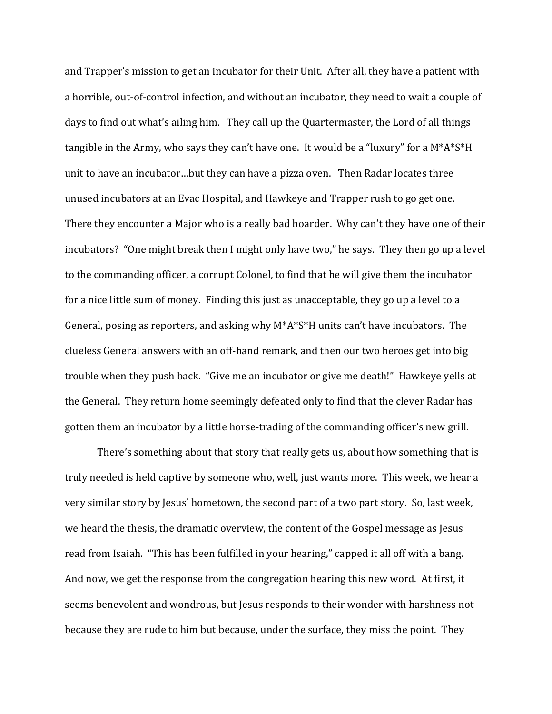and Trapper's mission to get an incubator for their Unit. After all, they have a patient with a horrible, out-of-control infection, and without an incubator, they need to wait a couple of days to find out what's ailing him. They call up the Quartermaster, the Lord of all things tangible in the Army, who says they can't have one. It would be a "luxury" for a M\*A\*S\*H unit to have an incubator…but they can have a pizza oven. Then Radar locates three unused incubators at an Evac Hospital, and Hawkeye and Trapper rush to go get one. There they encounter a Major who is a really bad hoarder. Why can't they have one of their incubators? "One might break then I might only have two," he says. They then go up a level to the commanding officer, a corrupt Colonel, to find that he will give them the incubator for a nice little sum of money. Finding this just as unacceptable, they go up a level to a General, posing as reporters, and asking why M\*A\*S\*H units can't have incubators. The clueless General answers with an off-hand remark, and then our two heroes get into big trouble when they push back. "Give me an incubator or give me death!" Hawkeye yells at the General. They return home seemingly defeated only to find that the clever Radar has gotten them an incubator by a little horse-trading of the commanding officer's new grill.

There's something about that story that really gets us, about how something that is truly needed is held captive by someone who, well, just wants more. This week, we hear a very similar story by Jesus' hometown, the second part of a two part story. So, last week, we heard the thesis, the dramatic overview, the content of the Gospel message as Jesus read from Isaiah. "This has been fulfilled in your hearing," capped it all off with a bang. And now, we get the response from the congregation hearing this new word. At first, it seems benevolent and wondrous, but Jesus responds to their wonder with harshness not because they are rude to him but because, under the surface, they miss the point. They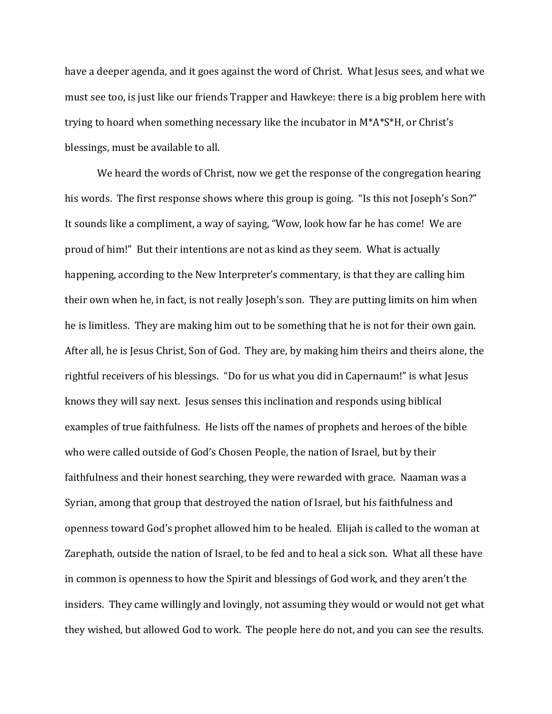have a deeper agenda, and it goes against the word of Christ. What Jesus sees, and what we must see too, is just like our friends Trapper and Hawkeye: there is a big problem here with trying to hoard when something necessary like the incubator in M\*A\*S\*H, or Christ's blessings, must be available to all.

We heard the words of Christ, now we get the response of the congregation hearing his words. The first response shows where this group is going. "Is this not Joseph's Son?" It sounds like a compliment, a way of saying, "Wow, look how far he has come! We are proud of him!" But their intentions are not as kind as they seem. What is actually happening, according to the New Interpreter's commentary, is that they are calling him their own when he, in fact, is not really Joseph's son. They are putting limits on him when he is limitless. They are making him out to be something that he is not for their own gain. After all, he is Jesus Christ, Son of God. They are, by making him theirs and theirs alone, the rightful receivers of his blessings. "Do for us what you did in Capernaum!" is what Jesus knows they will say next. Jesus senses this inclination and responds using biblical examples of true faithfulness. He lists off the names of prophets and heroes of the bible who were called outside of God's Chosen People, the nation of Israel, but by their faithfulness and their honest searching, they were rewarded with grace. Naaman was a Syrian, among that group that destroyed the nation of Israel, but his faithfulness and openness toward God's prophet allowed him to be healed. Elijah is called to the woman at Zarephath, outside the nation of Israel, to be fed and to heal a sick son. What all these have in common is openness to how the Spirit and blessings of God work, and they aren't the insiders. They came willingly and lovingly, not assuming they would or would not get what they wished, but allowed God to work. The people here do not, and you can see the results.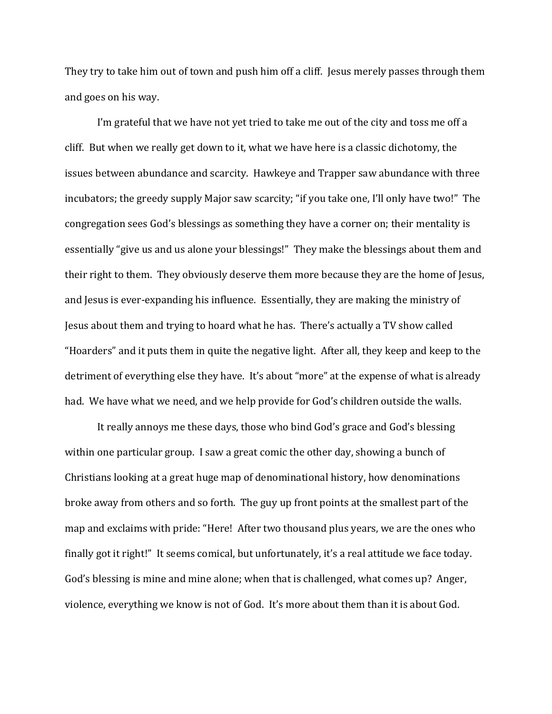They try to take him out of town and push him off a cliff. Jesus merely passes through them and goes on his way.

I'm grateful that we have not yet tried to take me out of the city and toss me off a cliff. But when we really get down to it, what we have here is a classic dichotomy, the issues between abundance and scarcity. Hawkeye and Trapper saw abundance with three incubators; the greedy supply Major saw scarcity; "if you take one, I'll only have two!" The congregation sees God's blessings as something they have a corner on; their mentality is essentially "give us and us alone your blessings!" They make the blessings about them and their right to them. They obviously deserve them more because they are the home of Jesus, and Jesus is ever-expanding his influence. Essentially, they are making the ministry of Jesus about them and trying to hoard what he has. There's actually a TV show called "Hoarders" and it puts them in quite the negative light. After all, they keep and keep to the detriment of everything else they have. It's about "more" at the expense of what is already had. We have what we need, and we help provide for God's children outside the walls.

It really annoys me these days, those who bind God's grace and God's blessing within one particular group. I saw a great comic the other day, showing a bunch of Christians looking at a great huge map of denominational history, how denominations broke away from others and so forth. The guy up front points at the smallest part of the map and exclaims with pride: "Here! After two thousand plus years, we are the ones who finally got it right!" It seems comical, but unfortunately, it's a real attitude we face today. God's blessing is mine and mine alone; when that is challenged, what comes up? Anger, violence, everything we know is not of God. It's more about them than it is about God.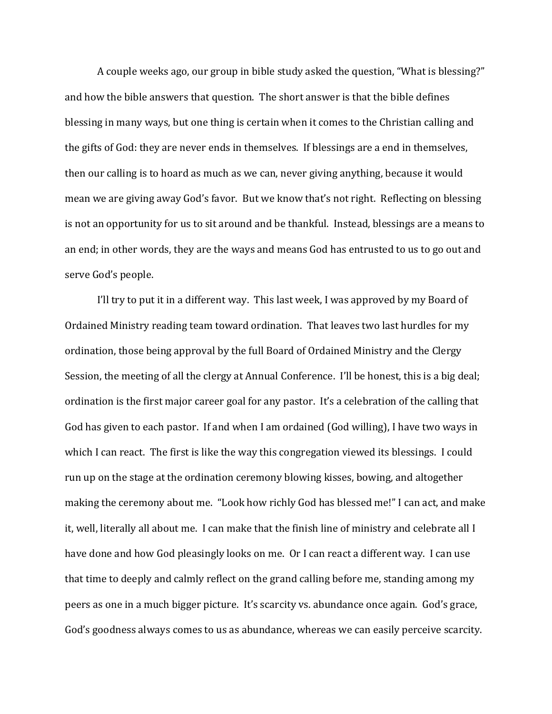A couple weeks ago, our group in bible study asked the question, "What is blessing?" and how the bible answers that question. The short answer is that the bible defines blessing in many ways, but one thing is certain when it comes to the Christian calling and the gifts of God: they are never ends in themselves. If blessings are a end in themselves, then our calling is to hoard as much as we can, never giving anything, because it would mean we are giving away God's favor. But we know that's not right. Reflecting on blessing is not an opportunity for us to sit around and be thankful. Instead, blessings are a means to an end; in other words, they are the ways and means God has entrusted to us to go out and serve God's people.

I'll try to put it in a different way. This last week, I was approved by my Board of Ordained Ministry reading team toward ordination. That leaves two last hurdles for my ordination, those being approval by the full Board of Ordained Ministry and the Clergy Session, the meeting of all the clergy at Annual Conference. I'll be honest, this is a big deal; ordination is the first major career goal for any pastor. It's a celebration of the calling that God has given to each pastor. If and when I am ordained (God willing), I have two ways in which I can react. The first is like the way this congregation viewed its blessings. I could run up on the stage at the ordination ceremony blowing kisses, bowing, and altogether making the ceremony about me. "Look how richly God has blessed me!" I can act, and make it, well, literally all about me. I can make that the finish line of ministry and celebrate all I have done and how God pleasingly looks on me. Or I can react a different way. I can use that time to deeply and calmly reflect on the grand calling before me, standing among my peers as one in a much bigger picture. It's scarcity vs. abundance once again. God's grace, God's goodness always comes to us as abundance, whereas we can easily perceive scarcity.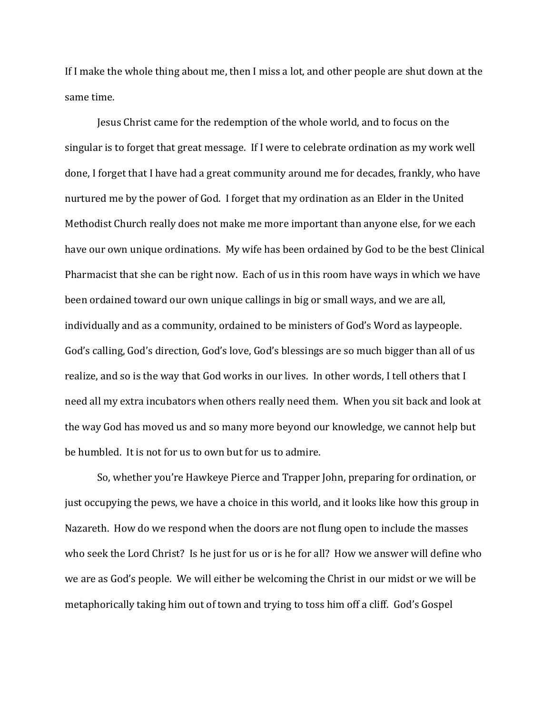If I make the whole thing about me, then I miss a lot, and other people are shut down at the same time.

Jesus Christ came for the redemption of the whole world, and to focus on the singular is to forget that great message. If I were to celebrate ordination as my work well done, I forget that I have had a great community around me for decades, frankly, who have nurtured me by the power of God. I forget that my ordination as an Elder in the United Methodist Church really does not make me more important than anyone else, for we each have our own unique ordinations. My wife has been ordained by God to be the best Clinical Pharmacist that she can be right now. Each of us in this room have ways in which we have been ordained toward our own unique callings in big or small ways, and we are all, individually and as a community, ordained to be ministers of God's Word as laypeople. God's calling, God's direction, God's love, God's blessings are so much bigger than all of us realize, and so is the way that God works in our lives. In other words, I tell others that I need all my extra incubators when others really need them. When you sit back and look at the way God has moved us and so many more beyond our knowledge, we cannot help but be humbled. It is not for us to own but for us to admire.

So, whether you're Hawkeye Pierce and Trapper John, preparing for ordination, or just occupying the pews, we have a choice in this world, and it looks like how this group in Nazareth. How do we respond when the doors are not flung open to include the masses who seek the Lord Christ? Is he just for us or is he for all? How we answer will define who we are as God's people. We will either be welcoming the Christ in our midst or we will be metaphorically taking him out of town and trying to toss him off a cliff. God's Gospel